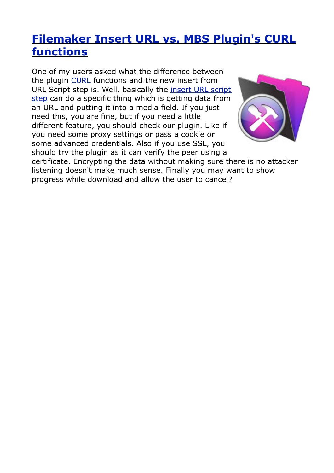## **[Filemaker Insert URL vs. MBS Plugin's CURL](http://www.mbsplugins.de/archive/2012-04-22/Filemaker_Insert_URL_vs_MBS_Pl)  [functions](http://www.mbsplugins.de/archive/2012-04-22/Filemaker_Insert_URL_vs_MBS_Pl)**

One of my users asked what the difference between the plugin [CURL](http://www.mbsplugins.eu/component_CURL.shtml) functions and the new insert from URL Script step is. Well, basically the [insert URL script](http://www.filemaker.com/12help/html/scripts_ref1.36.46.html) [step](http://www.filemaker.com/12help/html/scripts_ref1.36.46.html) can do a specific thing which is getting data from an URL and putting it into a media field. If you just need this, you are fine, but if you need a little different feature, you should check our plugin. Like if you need some proxy settings or pass a cookie or some advanced credentials. Also if you use SSL, you should try the plugin as it can verify the peer using a



certificate. Encrypting the data without making sure there is no attacker listening doesn't make much sense. Finally you may want to show progress while download and allow the user to cancel?